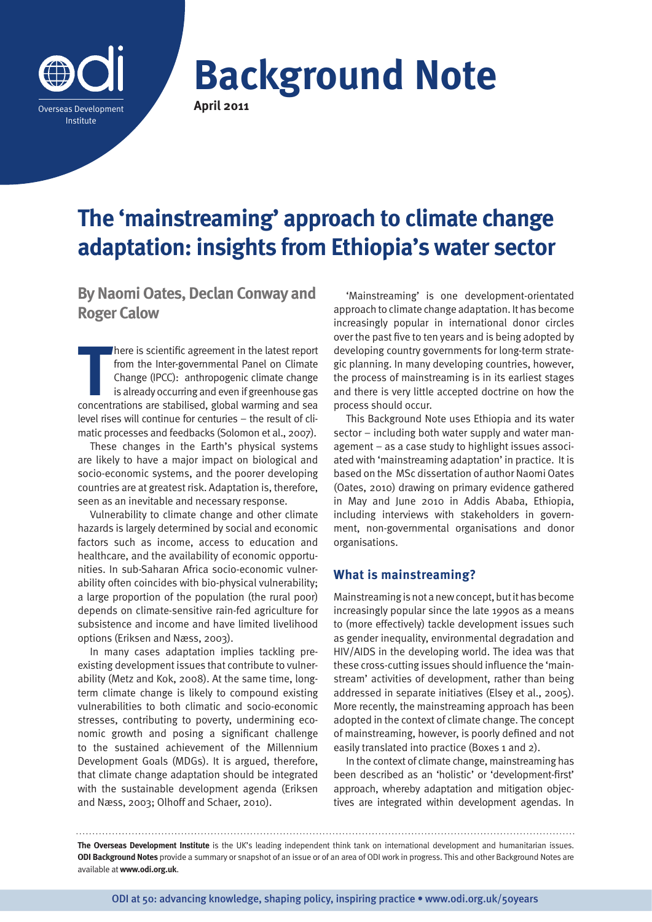

**Background Note April 2011**

# **The 'mainstreaming' approach to climate change adaptation: insights from Ethiopia's water sector**

**By Naomi Oates, Declan Conway and Roger Calow**

There is scientific agreement in the latest report<br>
from the Inter-governmental Panel on Climate<br>
Change (IPCC): anthropogenic climate change<br>
is already occurring and even if greenhouse gas<br>
concentrations are stabilised, here is scientific agreement in the latest report from the Inter-governmental Panel on Climate Change (IPCC): anthropogenic climate change is already occurring and even if greenhouse gas level rises will continue for centuries – the result of climatic processes and feedbacks (Solomon et al., 2007).

These changes in the Earth's physical systems are likely to have a major impact on biological and socio-economic systems, and the poorer developing countries are at greatest risk. Adaptation is, therefore, seen as an inevitable and necessary response.

Vulnerability to climate change and other climate hazards is largely determined by social and economic factors such as income, access to education and healthcare, and the availability of economic opportunities. In sub-Saharan Africa socio-economic vulnerability often coincides with bio-physical vulnerability; a large proportion of the population (the rural poor) depends on climate-sensitive rain-fed agriculture for subsistence and income and have limited livelihood options (Eriksen and Næss, 2003).

In many cases adaptation implies tackling preexisting development issues that contribute to vulnerability (Metz and Kok, 2008). At the same time, longterm climate change is likely to compound existing vulnerabilities to both climatic and socio-economic stresses, contributing to poverty, undermining economic growth and posing a significant challenge to the sustained achievement of the Millennium Development Goals (MDGs). It is argued, therefore, that climate change adaptation should be integrated with the sustainable development agenda (Eriksen and Næss, 2003; Olhoff and Schaer, 2010).

'Mainstreaming' is one development-orientated approach to climate change adaptation. It has become increasingly popular in international donor circles over the past five to ten years and is being adopted by developing country governments for long-term strategic planning. In many developing countries, however, the process of mainstreaming is in its earliest stages and there is very little accepted doctrine on how the process should occur.

This Background Note uses Ethiopia and its water sector – including both water supply and water management – as a case study to highlight issues associated with 'mainstreaming adaptation' in practice. It is based on the MSc dissertation of author Naomi Oates (Oates, 2010) drawing on primary evidence gathered in May and June 2010 in Addis Ababa, Ethiopia, including interviews with stakeholders in government, non-governmental organisations and donor organisations.

# **What is mainstreaming?**

Mainstreaming is not a new concept, but it has become increasingly popular since the late 1990s as a means to (more effectively) tackle development issues such as gender inequality, environmental degradation and HIV/AIDS in the developing world. The idea was that these cross-cutting issues should influence the 'mainstream' activities of development, rather than being addressed in separate initiatives (Elsey et al., 2005). More recently, the mainstreaming approach has been adopted in the context of climate change. The concept of mainstreaming, however, is poorly defined and not easily translated into practice (Boxes 1 and 2).

In the context of climate change, mainstreaming has been described as an 'holistic' or 'development-first' approach, whereby adaptation and mitigation objectives are integrated within development agendas. In

**The Overseas Development Institute** is the UK's leading independent think tank on international development and humanitarian issues. **ODI Background Notes** provide a summary or snapshot of an issue or of an area of ODI work in progress. This and other Background Notes are available at **www.odi.org.uk**.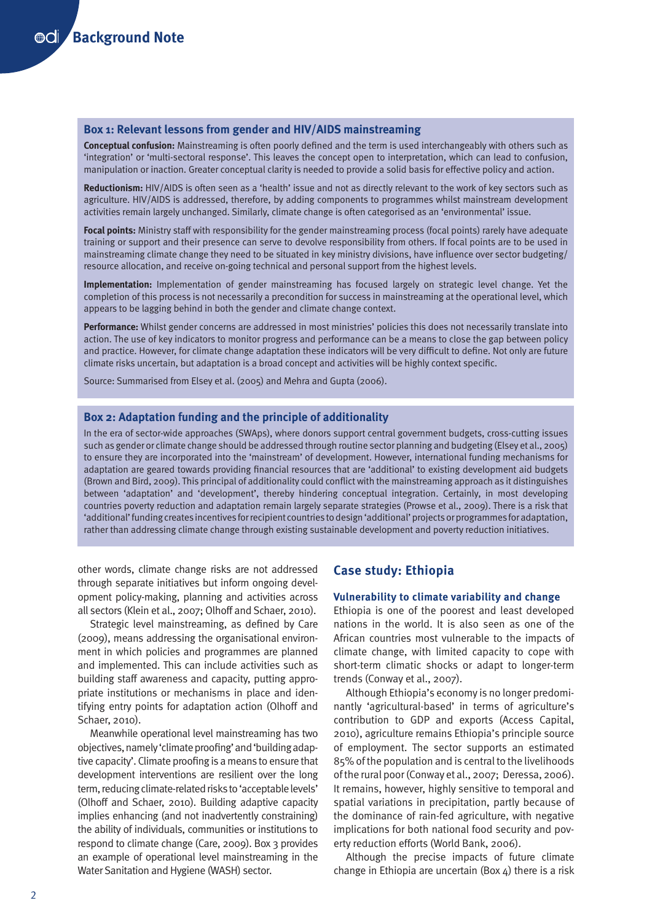#### **Box 1: Relevant lessons from gender and HIV/AIDS mainstreaming**

**Conceptual confusion:** Mainstreaming is often poorly defined and the term is used interchangeably with others such as 'integration' or 'multi-sectoral response'. This leaves the concept open to interpretation, which can lead to confusion, manipulation or inaction. Greater conceptual clarity is needed to provide a solid basis for effective policy and action.

**Reductionism:** HIV/AIDS is often seen as a 'health' issue and not as directly relevant to the work of key sectors such as agriculture. HIV/AIDS is addressed, therefore, by adding components to programmes whilst mainstream development activities remain largely unchanged. Similarly, climate change is often categorised as an 'environmental' issue.

**Focal points:** Ministry staff with responsibility for the gender mainstreaming process (focal points) rarely have adequate training or support and their presence can serve to devolve responsibility from others. If focal points are to be used in mainstreaming climate change they need to be situated in key ministry divisions, have influence over sector budgeting/ resource allocation, and receive on-going technical and personal support from the highest levels.

**Implementation:** Implementation of gender mainstreaming has focused largely on strategic level change. Yet the completion of this process is not necessarily a precondition for success in mainstreaming at the operational level, which appears to be lagging behind in both the gender and climate change context.

**Performance:** Whilst gender concerns are addressed in most ministries' policies this does not necessarily translate into action. The use of key indicators to monitor progress and performance can be a means to close the gap between policy and practice. However, for climate change adaptation these indicators will be very difficult to define. Not only are future climate risks uncertain, but adaptation is a broad concept and activities will be highly context specific.

Source: Summarised from Elsey et al. (2005) and Mehra and Gupta (2006).

#### **Box 2: Adaptation funding and the principle of additionality**

In the era of sector-wide approaches (SWAps), where donors support central government budgets, cross-cutting issues such as gender or climate change should be addressed through routine sector planning and budgeting (Elsey et al., 2005) to ensure they are incorporated into the 'mainstream' of development. However, international funding mechanisms for adaptation are geared towards providing financial resources that are 'additional' to existing development aid budgets (Brown and Bird, 2009). This principal of additionality could conflict with the mainstreaming approach as it distinguishes between 'adaptation' and 'development', thereby hindering conceptual integration. Certainly, in most developing countries poverty reduction and adaptation remain largely separate strategies (Prowse et al., 2009). There is a risk that 'additional' funding creates incentives for recipient countries to design 'additional' projects or programmes for adaptation, rather than addressing climate change through existing sustainable development and poverty reduction initiatives.

other words, climate change risks are not addressed through separate initiatives but inform ongoing development policy-making, planning and activities across all sectors (Klein et al., 2007; Olhoff and Schaer, 2010).

Strategic level mainstreaming, as defined by Care (2009), means addressing the organisational environment in which policies and programmes are planned and implemented. This can include activities such as building staff awareness and capacity, putting appropriate institutions or mechanisms in place and identifying entry points for adaptation action (Olhoff and Schaer, 2010).

Meanwhile operational level mainstreaming has two objectives, namely 'climate proofing' and 'building adaptive capacity'. Climate proofing is a means to ensure that development interventions are resilient over the long term, reducing climate-related risks to 'acceptable levels' (Olhoff and Schaer, 2010). Building adaptive capacity implies enhancing (and not inadvertently constraining) the ability of individuals, communities or institutions to respond to climate change (Care, 2009). Box 3 provides an example of operational level mainstreaming in the Water Sanitation and Hygiene (WASH) sector.

# **Case study: Ethiopia**

#### **Vulnerability to climate variability and change**

Ethiopia is one of the poorest and least developed nations in the world. It is also seen as one of the African countries most vulnerable to the impacts of climate change, with limited capacity to cope with short-term climatic shocks or adapt to longer-term trends (Conway et al., 2007).

Although Ethiopia's economy is no longer predominantly 'agricultural-based' in terms of agriculture's contribution to GDP and exports (Access Capital, 2010), agriculture remains Ethiopia's principle source of employment. The sector supports an estimated 85% of the population and is central to the livelihoods of the rural poor (Conway et al., 2007; Deressa, 2006). It remains, however, highly sensitive to temporal and spatial variations in precipitation, partly because of the dominance of rain-fed agriculture, with negative implications for both national food security and poverty reduction efforts (World Bank, 2006).

Although the precise impacts of future climate change in Ethiopia are uncertain (Box  $4$ ) there is a risk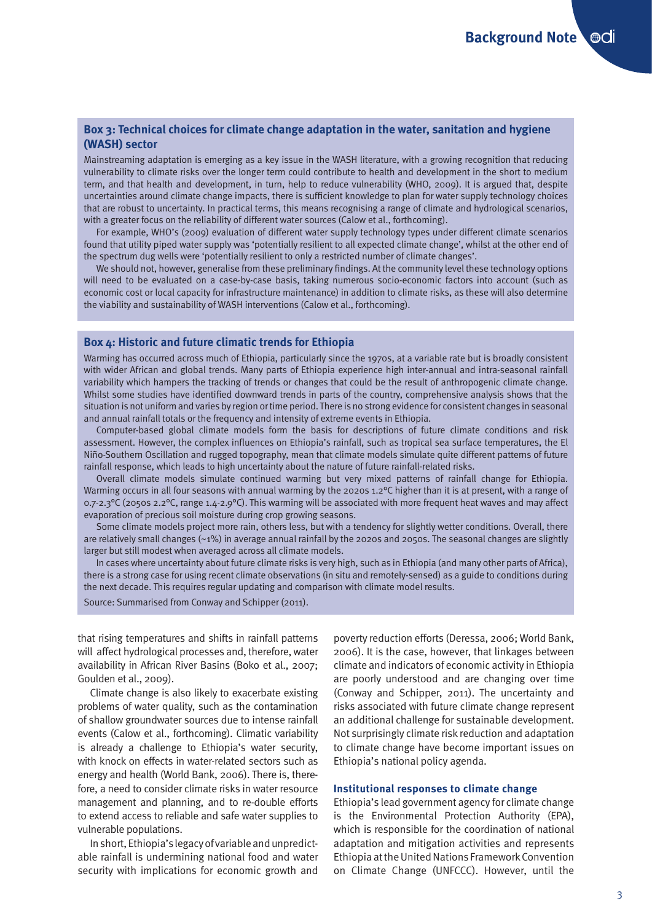# **Box 3: Technical choices for climate change adaptation in the water, sanitation and hygiene (WASH) sector**

Mainstreaming adaptation is emerging as a key issue in the WASH literature, with a growing recognition that reducing vulnerability to climate risks over the longer term could contribute to health and development in the short to medium term, and that health and development, in turn, help to reduce vulnerability (WHO, 2009). It is argued that, despite uncertainties around climate change impacts, there is sufficient knowledge to plan for water supply technology choices that are robust to uncertainty. In practical terms, this means recognising a range of climate and hydrological scenarios, with a greater focus on the reliability of different water sources (Calow et al., forthcoming).

For example, WHO's (2009) evaluation of different water supply technology types under different climate scenarios found that utility piped water supply was 'potentially resilient to all expected climate change', whilst at the other end of the spectrum dug wells were 'potentially resilient to only a restricted number of climate changes'.

We should not, however, generalise from these preliminary findings. At the community level these technology options will need to be evaluated on a case-by-case basis, taking numerous socio-economic factors into account (such as economic cost or local capacity for infrastructure maintenance) in addition to climate risks, as these will also determine the viability and sustainability of WASH interventions (Calow et al., forthcoming).

#### **Box 4: Historic and future climatic trends for Ethiopia**

Warming has occurred across much of Ethiopia, particularly since the 1970s, at a variable rate but is broadly consistent with wider African and global trends. Many parts of Ethiopia experience high inter-annual and intra-seasonal rainfall variability which hampers the tracking of trends or changes that could be the result of anthropogenic climate change. Whilst some studies have identified downward trends in parts of the country, comprehensive analysis shows that the situation is not uniform and varies by region or time period. There is no strong evidence for consistent changes in seasonal and annual rainfall totals or the frequency and intensity of extreme events in Ethiopia.

Computer-based global climate models form the basis for descriptions of future climate conditions and risk assessment. However, the complex influences on Ethiopia's rainfall, such as tropical sea surface temperatures, the El Niño-Southern Oscillation and rugged topography, mean that climate models simulate quite different patterns of future rainfall response, which leads to high uncertainty about the nature of future rainfall-related risks.

Overall climate models simulate continued warming but very mixed patterns of rainfall change for Ethiopia. Warming occurs in all four seasons with annual warming by the 2020s 1.2°C higher than it is at present, with a range of 0.7-2.3 $^{\circ}$ C (2050s 2.2 $^{\circ}$ C, range 1.4-2.9 $^{\circ}$ C). This warming will be associated with more frequent heat waves and may affect evaporation of precious soil moisture during crop growing seasons.

Some climate models project more rain, others less, but with a tendency for slightly wetter conditions. Overall, there are relatively small changes (~1%) in average annual rainfall by the 2020s and 2050s. The seasonal changes are slightly larger but still modest when averaged across all climate models.

In cases where uncertainty about future climate risks is very high, such as in Ethiopia (and many other parts of Africa), there is a strong case for using recent climate observations (in situ and remotely-sensed) as a guide to conditions during the next decade. This requires regular updating and comparison with climate model results.

Source: Summarised from Conway and Schipper (2011).

that rising temperatures and shifts in rainfall patterns will affect hydrological processes and, therefore, water availability in African River Basins (Boko et al., 2007; Goulden et al., 2009).

Climate change is also likely to exacerbate existing problems of water quality, such as the contamination of shallow groundwater sources due to intense rainfall events (Calow et al., forthcoming). Climatic variability is already a challenge to Ethiopia's water security, with knock on effects in water-related sectors such as energy and health (World Bank, 2006). There is, therefore, a need to consider climate risks in water resource management and planning, and to re-double efforts to extend access to reliable and safe water supplies to vulnerable populations.

In short, Ethiopia's legacy of variable and unpredictable rainfall is undermining national food and water security with implications for economic growth and poverty reduction efforts (Deressa, 2006; World Bank, 2006). It is the case, however, that linkages between climate and indicators of economic activity in Ethiopia are poorly understood and are changing over time (Conway and Schipper, 2011). The uncertainty and risks associated with future climate change represent an additional challenge for sustainable development. Not surprisingly climate risk reduction and adaptation to climate change have become important issues on Ethiopia's national policy agenda.

#### **Institutional responses to climate change**

Ethiopia's lead government agency for climate change is the Environmental Protection Authority (EPA), which is responsible for the coordination of national adaptation and mitigation activities and represents Ethiopia at the United Nations Framework Convention on Climate Change (UNFCCC). However, until the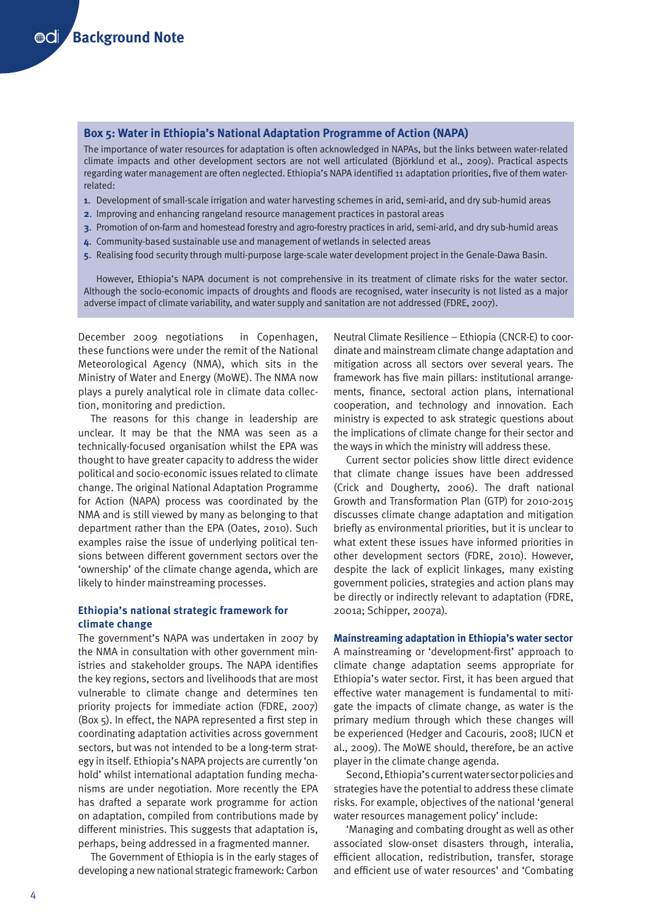# **Box 5: Water in Ethiopia's National Adaptation Programme of Action (NAPA)**

The importance of water resources for adaptation is often acknowledged in NAPAs, but the links between water-related climate impacts and other development sectors are not well articulated (Björklund et al., 2009). Practical aspects regarding water management are often neglected. Ethiopia's NAPA identified 11 adaptation priorities, five of them waterrelated:

- **1**. Development of small-scale irrigation and water harvesting schemes in arid, semi-arid, and dry sub-humid areas
- **2**. Improving and enhancing rangeland resource management practices in pastoral areas
- **3**. Promotion of on-farm and homestead forestry and agro-forestry practices in arid, semi-arid, and dry sub-humid areas
- **4**. Community-based sustainable use and management of wetlands in selected areas
- **5**. Realising food security through multi-purpose large-scale water development project in the Genale-Dawa Basin.

However, Ethiopia's NAPA document is not comprehensive in its treatment of climate risks for the water sector. Although the socio-economic impacts of droughts and floods are recognised, water insecurity is not listed as a major adverse impact of climate variability, and water supply and sanitation are not addressed (FDRE, 2007).

December 2009 negotiations in Copenhagen, these functions were under the remit of the National Meteorological Agency (NMA), which sits in the Ministry of Water and Energy (MoWE). The NMA now plays a purely analytical role in climate data collection, monitoring and prediction.

The reasons for this change in leadership are unclear. It may be that the NMA was seen as a technically-focused organisation whilst the EPA was thought to have greater capacity to address the wider political and socio-economic issues related to climate change. The original National Adaptation Programme for Action (NAPA) process was coordinated by the NMA and is still viewed by many as belonging to that department rather than the EPA (Oates, 2010). Such examples raise the issue of underlying political tensions between different government sectors over the 'ownership' of the climate change agenda, which are likely to hinder mainstreaming processes.

#### **Ethiopia's national strategic framework for climate change**

The government's NAPA was undertaken in 2007 by the NMA in consultation with other government ministries and stakeholder groups. The NAPA identifies the key regions, sectors and livelihoods that are most vulnerable to climate change and determines ten priority projects for immediate action (FDRE, 2007) (Box 5). In effect, the NAPA represented a first step in coordinating adaptation activities across government sectors, but was not intended to be a long-term strategy in itself. Ethiopia's NAPA projects are currently 'on hold' whilst international adaptation funding mechanisms are under negotiation. More recently the EPA has drafted a separate work programme for action on adaptation, compiled from contributions made by different ministries. This suggests that adaptation is, perhaps, being addressed in a fragmented manner.

The Government of Ethiopia is in the early stages of developing a new national strategic framework: Carbon

Neutral Climate Resilience – Ethiopia (CNCR-E) to coordinate and mainstream climate change adaptation and mitigation across all sectors over several years. The framework has five main pillars: institutional arrangements, finance, sectoral action plans, international cooperation, and technology and innovation. Each ministry is expected to ask strategic questions about the implications of climate change for their sector and the ways in which the ministry will address these.

Current sector policies show little direct evidence that climate change issues have been addressed (Crick and Dougherty, 2006). The draft national Growth and Transformation Plan (GTP) for 2010-2015 discusses climate change adaptation and mitigation briefly as environmental priorities, but it is unclear to what extent these issues have informed priorities in other development sectors (FDRE, 2010). However, despite the lack of explicit linkages, many existing government policies, strategies and action plans may be directly or indirectly relevant to adaptation (FDRE, 2001a; Schipper, 2007a).

#### **Mainstreaming adaptation in Ethiopia's water sector**

A mainstreaming or 'development-first' approach to climate change adaptation seems appropriate for Ethiopia's water sector. First, it has been argued that effective water management is fundamental to mitigate the impacts of climate change, as water is the primary medium through which these changes will be experienced (Hedger and Cacouris, 2008; IUCN et al., 2009). The MoWE should, therefore, be an active player in the climate change agenda.

Second, Ethiopia's current water sector policies and strategies have the potential to address these climate risks. For example, objectives of the national 'general water resources management policy' include:

'Managing and combating drought as well as other associated slow-onset disasters through, interalia, efficient allocation, redistribution, transfer, storage and efficient use of water resources' and 'Combating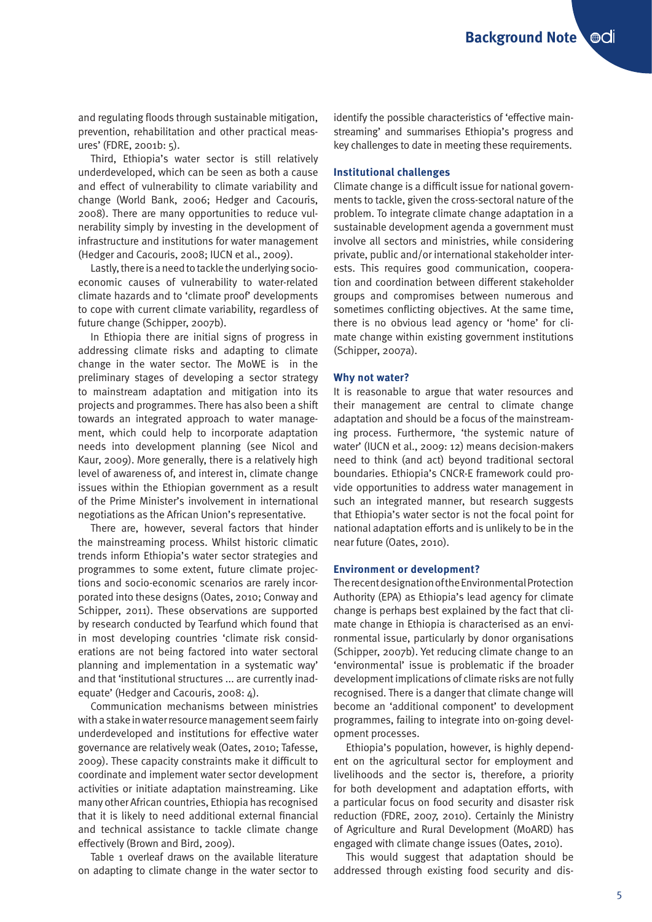and regulating floods through sustainable mitigation, prevention, rehabilitation and other practical measures' (FDRE, 2001b: 5).

Third, Ethiopia's water sector is still relatively underdeveloped, which can be seen as both a cause and effect of vulnerability to climate variability and change (World Bank, 2006; Hedger and Cacouris, 2008). There are many opportunities to reduce vulnerability simply by investing in the development of infrastructure and institutions for water management (Hedger and Cacouris, 2008; IUCN et al., 2009).

Lastly, there is a need to tackle the underlying socioeconomic causes of vulnerability to water-related climate hazards and to 'climate proof' developments to cope with current climate variability, regardless of future change (Schipper, 2007b).

In Ethiopia there are initial signs of progress in addressing climate risks and adapting to climate change in the water sector. The MoWE is in the preliminary stages of developing a sector strategy to mainstream adaptation and mitigation into its projects and programmes. There has also been a shift towards an integrated approach to water management, which could help to incorporate adaptation needs into development planning (see Nicol and Kaur, 2009). More generally, there is a relatively high level of awareness of, and interest in, climate change issues within the Ethiopian government as a result of the Prime Minister's involvement in international negotiations as the African Union's representative.

There are, however, several factors that hinder the mainstreaming process. Whilst historic climatic trends inform Ethiopia's water sector strategies and programmes to some extent, future climate projections and socio-economic scenarios are rarely incorporated into these designs (Oates, 2010; Conway and Schipper, 2011). These observations are supported by research conducted by Tearfund which found that in most developing countries 'climate risk considerations are not being factored into water sectoral planning and implementation in a systematic way' and that 'institutional structures ... are currently inadequate' (Hedger and Cacouris, 2008: 4).

Communication mechanisms between ministries with a stake in water resource management seem fairly underdeveloped and institutions for effective water governance are relatively weak (Oates, 2010; Tafesse, 2009). These capacity constraints make it difficult to coordinate and implement water sector development activities or initiate adaptation mainstreaming. Like many other African countries, Ethiopia has recognised that it is likely to need additional external financial and technical assistance to tackle climate change effectively (Brown and Bird, 2009).

Table 1 overleaf draws on the available literature on adapting to climate change in the water sector to identify the possible characteristics of 'effective mainstreaming' and summarises Ethiopia's progress and key challenges to date in meeting these requirements.

#### **Institutional challenges**

Climate change is a difficult issue for national governments to tackle, given the cross-sectoral nature of the problem. To integrate climate change adaptation in a sustainable development agenda a government must involve all sectors and ministries, while considering private, public and/or international stakeholder interests. This requires good communication, cooperation and coordination between different stakeholder groups and compromises between numerous and sometimes conflicting objectives. At the same time, there is no obvious lead agency or 'home' for climate change within existing government institutions (Schipper, 2007a).

#### **Why not water?**

It is reasonable to argue that water resources and their management are central to climate change adaptation and should be a focus of the mainstreaming process. Furthermore, 'the systemic nature of water' (IUCN et al., 2009: 12) means decision-makers need to think (and act) beyond traditional sectoral boundaries. Ethiopia's CNCR-E framework could provide opportunities to address water management in such an integrated manner, but research suggests that Ethiopia's water sector is not the focal point for national adaptation efforts and is unlikely to be in the near future (Oates, 2010).

# **Environment or development?**

The recent designation of the Environmental Protection Authority (EPA) as Ethiopia's lead agency for climate change is perhaps best explained by the fact that climate change in Ethiopia is characterised as an environmental issue, particularly by donor organisations (Schipper, 2007b). Yet reducing climate change to an 'environmental' issue is problematic if the broader development implications of climate risks are not fully recognised. There is a danger that climate change will become an 'additional component' to development programmes, failing to integrate into on-going development processes.

Ethiopia's population, however, is highly dependent on the agricultural sector for employment and livelihoods and the sector is, therefore, a priority for both development and adaptation efforts, with a particular focus on food security and disaster risk reduction (FDRE, 2007, 2010). Certainly the Ministry of Agriculture and Rural Development (MoARD) has engaged with climate change issues (Oates, 2010).

This would suggest that adaptation should be addressed through existing food security and dis-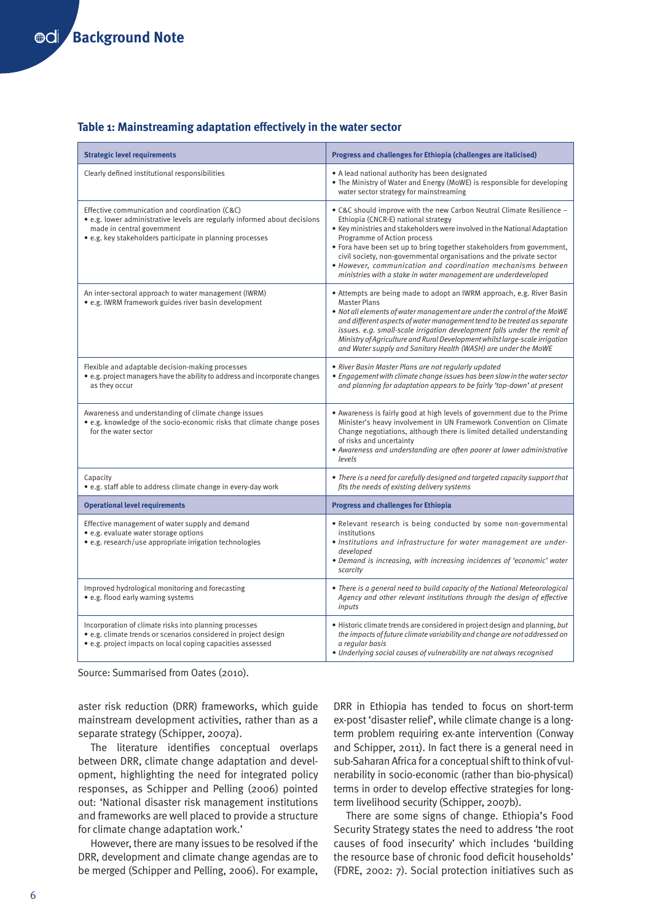## **Table 1: Mainstreaming adaptation effectively in the water sector**

| <b>Strategic level requirements</b>                                                                                                                                                                                    | Progress and challenges for Ethiopia (challenges are italicised)                                                                                                                                                                                                                                                                                                                                                                                                                                               |
|------------------------------------------------------------------------------------------------------------------------------------------------------------------------------------------------------------------------|----------------------------------------------------------------------------------------------------------------------------------------------------------------------------------------------------------------------------------------------------------------------------------------------------------------------------------------------------------------------------------------------------------------------------------------------------------------------------------------------------------------|
| Clearly defined institutional responsibilities                                                                                                                                                                         | • A lead national authority has been designated<br>• The Ministry of Water and Energy (MoWE) is responsible for developing<br>water sector strategy for mainstreaming                                                                                                                                                                                                                                                                                                                                          |
| Effective communication and coordination (C&C)<br>• e.g. lower administrative levels are regularly informed about decisions<br>made in central government<br>• e.g. key stakeholders participate in planning processes | • C&C should improve with the new Carbon Neutral Climate Resilience -<br>Ethiopia (CNCR-E) national strategy<br>• Key ministries and stakeholders were involved in the National Adaptation<br>Programme of Action process<br>• Fora have been set up to bring together stakeholders from government,<br>civil society, non-governmental organisations and the private sector<br>• However, communication and coordination mechanisms between<br>ministries with a stake in water management are underdeveloped |
| An inter-sectoral approach to water management (IWRM)<br>• e.g. IWRM framework guides river basin development                                                                                                          | • Attempts are being made to adopt an IWRM approach, e.g. River Basin<br><b>Master Plans</b><br>• Not all elements of water management are under the control of the MoWE<br>and different aspects of water management tend to be treated as separate<br>issues. e.g. small-scale irrigation development falls under the remit of<br>Ministry of Agriculture and Rural Development whilst large-scale irrigation<br>and Water supply and Sanitary Health (WASH) are under the MoWE                              |
| Flexible and adaptable decision-making processes<br>• e.g. project managers have the ability to address and incorporate changes<br>as they occur                                                                       | • River Basin Master Plans are not regularly updated<br>• Engagement with climate change issues has been slow in the water sector<br>and planning for adaptation appears to be fairly 'top-down' at present                                                                                                                                                                                                                                                                                                    |
| Awareness and understanding of climate change issues<br>• e.g. knowledge of the socio-economic risks that climate change poses<br>for the water sector                                                                 | • Awareness is fairly good at high levels of government due to the Prime<br>Minister's heavy involvement in UN Framework Convention on Climate<br>Change negotiations, although there is limited detailed understanding<br>of risks and uncertainty<br>• Awareness and understanding are often poorer at lower administrative<br>levels                                                                                                                                                                        |
| Capacity<br>· e.g. staff able to address climate change in every-day work                                                                                                                                              | • There is a need for carefully designed and targeted capacity support that<br>fits the needs of existing delivery systems                                                                                                                                                                                                                                                                                                                                                                                     |
| <b>Operational level requirements</b>                                                                                                                                                                                  | <b>Progress and challenges for Ethiopia</b>                                                                                                                                                                                                                                                                                                                                                                                                                                                                    |
| Effective management of water supply and demand<br>• e.g. evaluate water storage options<br>• e.g. research/use appropriate irrigation technologies                                                                    | . Relevant research is being conducted by some non-governmental<br>institutions<br>• Institutions and infrastructure for water management are under-<br>developed<br>• Demand is increasing, with increasing incidences of 'economic' water<br>scarcity                                                                                                                                                                                                                                                        |
| Improved hydrological monitoring and forecasting<br>• e.g. flood early warning systems                                                                                                                                 | • There is a general need to build capacity of the National Meteorological<br>Agency and other relevant institutions through the design of effective<br>inputs                                                                                                                                                                                                                                                                                                                                                 |
| Incorporation of climate risks into planning processes<br>• e.g. climate trends or scenarios considered in project design<br>• e.g. project impacts on local coping capacities assessed                                | • Historic climate trends are considered in project design and planning, but<br>the impacts of future climate variability and change are not addressed on<br>a reaular basis<br>• Underlying social causes of vulnerability are not always recognised                                                                                                                                                                                                                                                          |

Source: Summarised from Oates (2010).

aster risk reduction (DRR) frameworks, which guide mainstream development activities, rather than as a separate strategy (Schipper, 2007a).

The literature identifies conceptual overlaps between DRR, climate change adaptation and development, highlighting the need for integrated policy responses, as Schipper and Pelling (2006) pointed out: 'National disaster risk management institutions and frameworks are well placed to provide a structure for climate change adaptation work.'

However, there are many issues to be resolved if the DRR, development and climate change agendas are to be merged (Schipper and Pelling, 2006). For example,

DRR in Ethiopia has tended to focus on short-term ex-post 'disaster relief', while climate change is a longterm problem requiring ex-ante intervention (Conway and Schipper, 2011). In fact there is a general need in sub-Saharan Africa for a conceptual shift to think of vulnerability in socio-economic (rather than bio-physical) terms in order to develop effective strategies for longterm livelihood security (Schipper, 2007b).

There are some signs of change. Ethiopia's Food Security Strategy states the need to address 'the root causes of food insecurity' which includes 'building the resource base of chronic food deficit households' (FDRE, 2002: 7). Social protection initiatives such as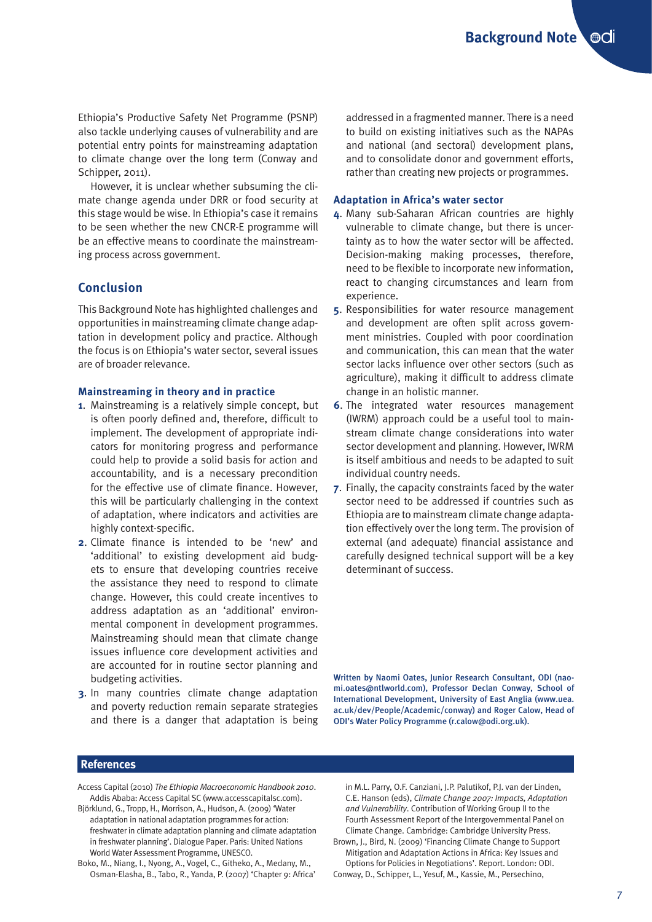Ethiopia's Productive Safety Net Programme (PSNP) also tackle underlying causes of vulnerability and are potential entry points for mainstreaming adaptation to climate change over the long term (Conway and Schipper, 2011).

However, it is unclear whether subsuming the climate change agenda under DRR or food security at this stage would be wise. In Ethiopia's case it remains to be seen whether the new CNCR-E programme will be an effective means to coordinate the mainstreaming process across government.

# **Conclusion**

This Background Note has highlighted challenges and opportunities in mainstreaming climate change adaptation in development policy and practice. Although the focus is on Ethiopia's water sector, several issues are of broader relevance.

#### **Mainstreaming in theory and in practice**

- **1**. Mainstreaming is a relatively simple concept, but is often poorly defined and, therefore, difficult to implement. The development of appropriate indicators for monitoring progress and performance could help to provide a solid basis for action and accountability, and is a necessary precondition for the effective use of climate finance. However, this will be particularly challenging in the context of adaptation, where indicators and activities are highly context-specific.
- **2**. Climate finance is intended to be 'new' and 'additional' to existing development aid budgets to ensure that developing countries receive the assistance they need to respond to climate change. However, this could create incentives to address adaptation as an 'additional' environmental component in development programmes. Mainstreaming should mean that climate change issues influence core development activities and are accounted for in routine sector planning and budgeting activities.
- **3**. In many countries climate change adaptation and poverty reduction remain separate strategies and there is a danger that adaptation is being

addressed in a fragmented manner. There is a need to build on existing initiatives such as the NAPAs and national (and sectoral) development plans, and to consolidate donor and government efforts, rather than creating new projects or programmes.

#### **Adaptation in Africa's water sector**

- **4**. Many sub-Saharan African countries are highly vulnerable to climate change, but there is uncertainty as to how the water sector will be affected. Decision-making making processes, therefore, need to be flexible to incorporate new information, react to changing circumstances and learn from experience.
- **5**. Responsibilities for water resource management and development are often split across government ministries. Coupled with poor coordination and communication, this can mean that the water sector lacks influence over other sectors (such as agriculture), making it difficult to address climate change in an holistic manner.
- **6**. The integrated water resources management (IWRM) approach could be a useful tool to mainstream climate change considerations into water sector development and planning. However, IWRM is itself ambitious and needs to be adapted to suit individual country needs.
- **7**. Finally, the capacity constraints faced by the water sector need to be addressed if countries such as Ethiopia are to mainstream climate change adaptation effectively over the long term. The provision of external (and adequate) financial assistance and carefully designed technical support will be a key determinant of success.

Written by Naomi Oates, Junior Research Consultant, ODI (naomi.oates@ntlworld.com), Professor Declan Conway, School of International Development, University of East Anglia (www.uea. ac.uk/dev/People/Academic/conway) and Roger Calow, Head of ODI's Water Policy Programme (r.calow@odi.org.uk).

#### **References**

- Access Capital (2010) *The Ethiopia Macroeconomic Handbook 2010*. Addis Ababa: Access Capital SC (www.accesscapitalsc.com).
- Björklund, G., Tropp, H., Morrison, A., Hudson, A. (2009) 'Water adaptation in national adaptation programmes for action: freshwater in climate adaptation planning and climate adaptation in freshwater planning'. Dialogue Paper. Paris: United Nations World Water Assessment Programme, UNESCO.
- Boko, M., Niang, I., Nyong, A., Vogel, C., Githeko, A., Medany, M., Osman-Elasha, B., Tabo, R., Yanda, P. (2007) 'Chapter 9: Africa'

in M.L. Parry, O.F. Canziani, J.P. Palutikof, P.J. van der Linden, C.E. Hanson (eds), *Climate Change 2007: Impacts, Adaptation and Vulnerability*. Contribution of Working Group II to the Fourth Assessment Report of the Intergovernmental Panel on Climate Change. Cambridge: Cambridge University Press.

- Brown, J., Bird, N. (2009) 'Financing Climate Change to Support Mitigation and Adaptation Actions in Africa: Key Issues and Options for Policies in Negotiations'. Report. London: ODI.
- Conway, D., Schipper, L., Yesuf, M., Kassie, M., Persechino,